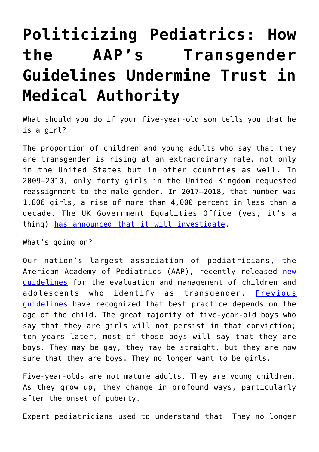## **[Politicizing Pediatrics: How](https://intellectualtakeout.org/2019/03/politicizing-pediatrics-how-the-aaps-transgender-guidelines-undermine-trust-in-medical-authority/) [the AAP's Transgender](https://intellectualtakeout.org/2019/03/politicizing-pediatrics-how-the-aaps-transgender-guidelines-undermine-trust-in-medical-authority/) [Guidelines Undermine Trust in](https://intellectualtakeout.org/2019/03/politicizing-pediatrics-how-the-aaps-transgender-guidelines-undermine-trust-in-medical-authority/) [Medical Authority](https://intellectualtakeout.org/2019/03/politicizing-pediatrics-how-the-aaps-transgender-guidelines-undermine-trust-in-medical-authority/)**

What should you do if your five-year-old son tells you that he is a girl?

The proportion of children and young adults who say that they are transgender is rising at an extraordinary rate, not only in the United States but in other countries as well. In 2009–2010, only forty girls in the United Kingdom requested reassignment to the male gender. In 2017–2018, that number was 1,806 girls, a rise of more than 4,000 percent in less than a decade. The UK Government Equalities Office (yes, it's a thing) [has announced that it will investigate](https://www.thetimes.co.uk/article/inquiry-into-surge-in-gender-treatment-ordered-by-penny-mordaunt-b2ftz9hfn).

What's going on?

Our nation's largest association of pediatricians, the American Academy of Pediatrics (AAP), recently released [new](http://pediatrics.aappublications.org/content/pediatrics/142/4/e20182162.full.pdf) [guidelines](http://pediatrics.aappublications.org/content/pediatrics/142/4/e20182162.full.pdf) for the evaluation and management of children and adolescents who identify as transgender. [Previous](https://www.tandfonline.com/doi/abs/10.1080/00918369.2012.653309) [guidelines](https://www.tandfonline.com/doi/abs/10.1080/00918369.2012.653309) have recognized that best practice depends on the age of the child. The great majority of five-year-old boys who say that they are girls will not persist in that conviction; ten years later, most of those boys will say that they are boys. They may be gay, they may be straight, but they are now sure that they are boys. They no longer want to be girls.

Five-year-olds are not mature adults. They are young children. As they grow up, they change in profound ways, particularly after the onset of puberty.

Expert pediatricians used to understand that. They no longer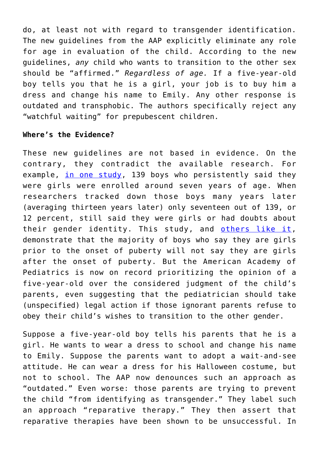do, at least not with regard to transgender identification. The new guidelines from the AAP explicitly eliminate any role for age in evaluation of the child. According to the new guidelines, *any* child who wants to transition to the other sex should be "affirmed." *Regardless of age.* If a five-year-old boy tells you that he is a girl, your job is to buy him a dress and change his name to Emily. Any other response is outdated and transphobic. The authors specifically reject any "watchful waiting" for prepubescent children.

## **Where's the Evidence?**

These new guidelines are not based in evidence. On the contrary, they contradict the available research. For example, [in one study](http://images.nymag.com/images/2/daily/2016/01/SINGH-DISSERTATION.pdf), 139 boys who persistently said they were girls were enrolled around seven years of age. When researchers tracked down those boys many years later (averaging thirteen years later) only seventeen out of 139, or 12 percent, still said they were girls or had doubts about their gender identity. This study, and [others like it,](https://www.jaacap.org/article/S0890-8567(08)60133-1/fulltext) demonstrate that the majority of boys who say they are girls prior to the onset of puberty will not say they are girls after the onset of puberty. But the American Academy of Pediatrics is now on record prioritizing the opinion of a five-year-old over the considered judgment of the child's parents, even suggesting that the pediatrician should take (unspecified) legal action if those ignorant parents refuse to obey their child's wishes to transition to the other gender.

Suppose a five-year-old boy tells his parents that he is a girl. He wants to wear a dress to school and change his name to Emily. Suppose the parents want to adopt a wait-and-see attitude. He can wear a dress for his Halloween costume, but not to school. The AAP now denounces such an approach as "outdated." Even worse: those parents are trying to prevent the child "from identifying as transgender." They label such an approach "reparative therapy." They then assert that reparative therapies have been shown to be unsuccessful. In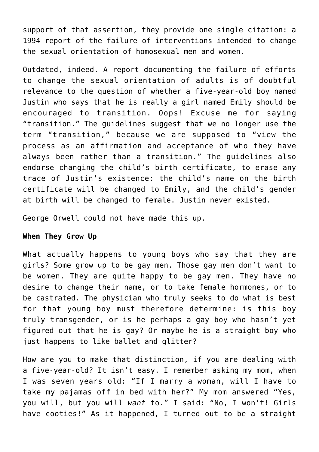support of that assertion, they provide one single citation: a 1994 report of the failure of interventions intended to change the sexual orientation of homosexual men and women.

Outdated, indeed. A report documenting the failure of efforts to change the sexual orientation of adults is of doubtful relevance to the question of whether a five-year-old boy named Justin who says that he is really a girl named Emily should be encouraged to transition. Oops! Excuse me for saying "transition." The guidelines suggest that we no longer use the term "transition," because we are supposed to "view the process as an affirmation and acceptance of who they have always been rather than a transition." The guidelines also endorse changing the child's birth certificate, to erase any trace of Justin's existence: the child's name on the birth certificate will be changed to Emily, and the child's gender at birth will be changed to female. Justin never existed.

George Orwell could not have made this up.

## **When They Grow Up**

What actually happens to young boys who say that they are girls? Some grow up to be gay men. Those gay men don't want to be women. They are quite happy to be gay men. They have no desire to change their name, or to take female hormones, or to be castrated. The physician who truly seeks to do what is best for that young boy must therefore determine: is this boy truly transgender, or is he perhaps a gay boy who hasn't yet figured out that he is gay? Or maybe he is a straight boy who just happens to like ballet and glitter?

How are you to make that distinction, if you are dealing with a five-year-old? It isn't easy. I remember asking my mom, when I was seven years old: "If I marry a woman, will I have to take my pajamas off in bed with her?" My mom answered "Yes, you will, but you will *want* to." I said: "No, I won't! Girls have cooties!" As it happened, I turned out to be a straight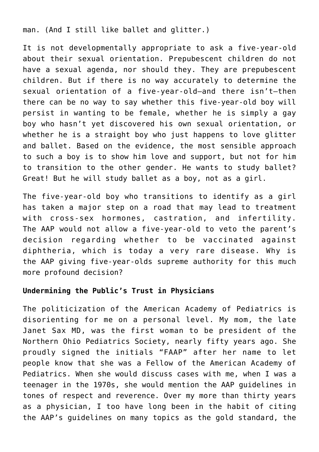man. (And I still like ballet and glitter.)

It is not developmentally appropriate to ask a five-year-old about their sexual orientation. Prepubescent children do not have a sexual agenda, nor should they. They are prepubescent children. But if there is no way accurately to determine the sexual orientation of a five-year-old—and there isn't—then there can be no way to say whether this five-year-old boy will persist in wanting to be female, whether he is simply a gay boy who hasn't yet discovered his own sexual orientation, or whether he is a straight boy who just happens to love glitter and ballet. Based on the evidence, the most sensible approach to such a boy is to show him love and support, but not for him to transition to the other gender. He wants to study ballet? Great! But he will study ballet as a boy, not as a girl.

The five-year-old boy who transitions to identify as a girl has taken a major step on a road that may lead to treatment with cross-sex hormones, castration, and infertility. The AAP would not allow a five-year-old to veto the parent's decision regarding whether to be vaccinated against diphtheria, which is today a very rare disease. Why is the AAP giving five-year-olds supreme authority for this much more profound decision?

## **Undermining the Public's Trust in Physicians**

The politicization of the American Academy of Pediatrics is disorienting for me on a personal level. My mom, the late Janet Sax MD, was the first woman to be president of the Northern Ohio Pediatrics Society, nearly fifty years ago. She proudly signed the initials "FAAP" after her name to let people know that she was a Fellow of the American Academy of Pediatrics. When she would discuss cases with me, when I was a teenager in the 1970s, she would mention the AAP guidelines in tones of respect and reverence. Over my more than thirty years as a physician, I too have long been in the habit of citing the AAP's guidelines on many topics as the gold standard, the